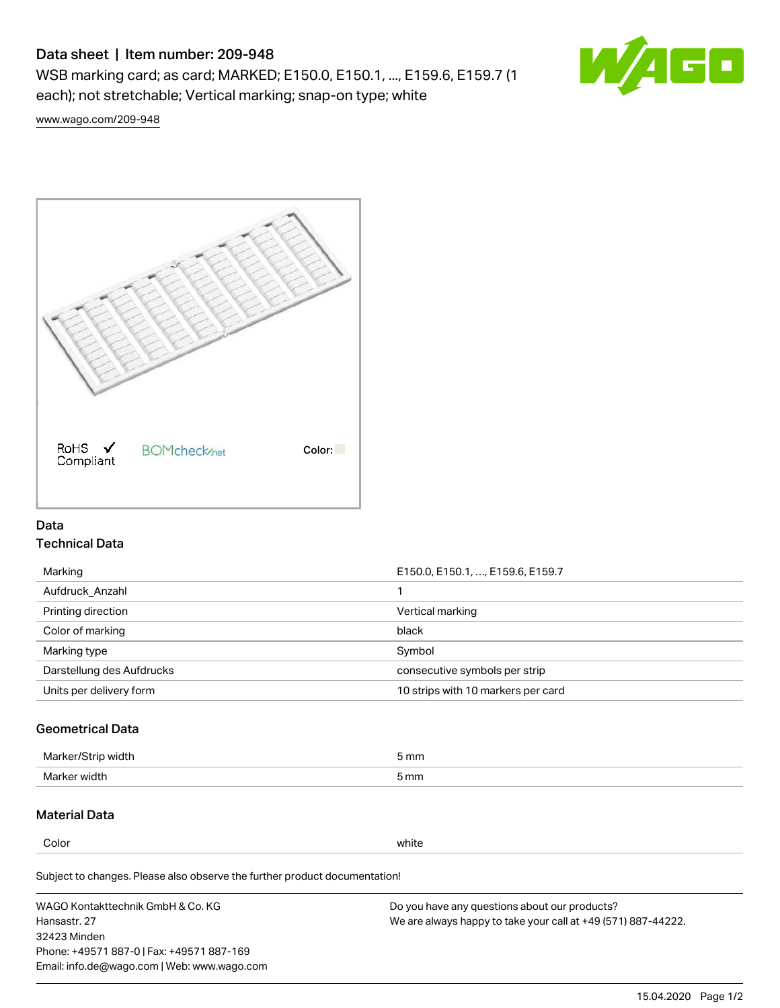# Data sheet | Item number: 209-948

WSB marking card; as card; MARKED; E150.0, E150.1, ..., E159.6, E159.7 (1 each); not stretchable; Vertical marking; snap-on type; white



[www.wago.com/209-948](http://www.wago.com/209-948)



## Data Technical Data

| Marking                   | E150.0, E150.1, , E159.6, E159.7   |
|---------------------------|------------------------------------|
| Aufdruck Anzahl           |                                    |
| Printing direction        | Vertical marking                   |
| Color of marking          | black                              |
| Marking type              | Symbol                             |
| Darstellung des Aufdrucks | consecutive symbols per strip      |
| Units per delivery form   | 10 strips with 10 markers per card |

## Geometrical Data

| طلقاء ئ<br><b>Marker</b><br>widtr | ັກmm |
|-----------------------------------|------|
| Marker width                      | 5 mm |

## Material Data

Color white

Subject to changes. Please also observe the further product documentation!

WAGO Kontakttechnik GmbH & Co. KG Hansastr. 27 32423 Minden Phone: +49571 887-0 | Fax: +49571 887-169 Email: info.de@wago.com | Web: www.wago.com Do you have any questions about our products? We are always happy to take your call at +49 (571) 887-44222.